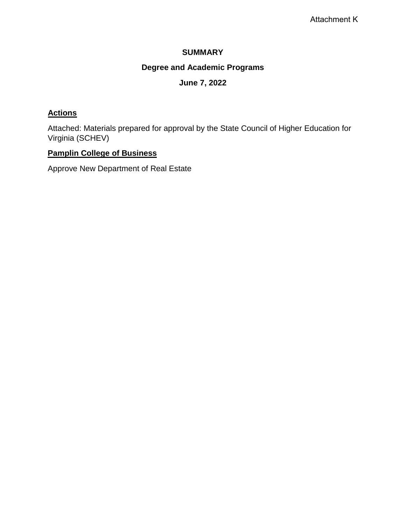# **SUMMARY**

# **Degree and Academic Programs**

# **June 7, 2022**

# **Actions**

Attached: Materials prepared for approval by the State Council of Higher Education for Virginia (SCHEV)

# **Pamplin College of Business**

Approve New Department of Real Estate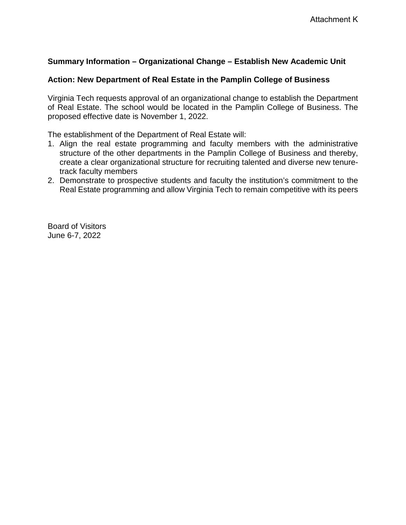# **Summary Information – Organizational Change – Establish New Academic Unit**

## **Action: New Department of Real Estate in the Pamplin College of Business**

Virginia Tech requests approval of an organizational change to establish the Department of Real Estate. The school would be located in the Pamplin College of Business. The proposed effective date is November 1, 2022.

The establishment of the Department of Real Estate will:

- 1. Align the real estate programming and faculty members with the administrative structure of the other departments in the Pamplin College of Business and thereby, create a clear organizational structure for recruiting talented and diverse new tenuretrack faculty members
- 2. Demonstrate to prospective students and faculty the institution's commitment to the Real Estate programming and allow Virginia Tech to remain competitive with its peers

Board of Visitors June 6-7, 2022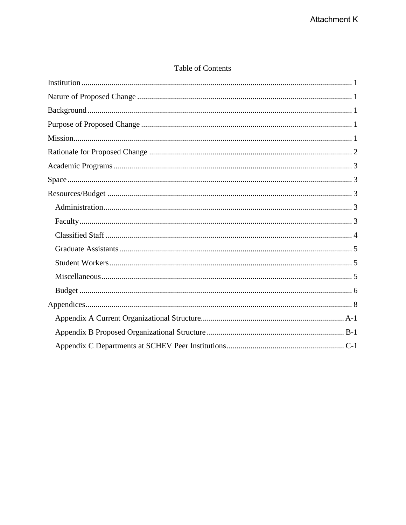# Table of Contents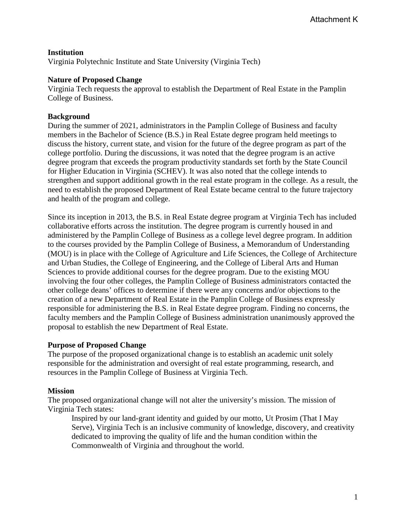## <span id="page-3-0"></span>**Institution**

Virginia Polytechnic Institute and State University (Virginia Tech)

#### <span id="page-3-1"></span>**Nature of Proposed Change**

Virginia Tech requests the approval to establish the Department of Real Estate in the Pamplin College of Business.

## <span id="page-3-2"></span>**Background**

During the summer of 2021, administrators in the Pamplin College of Business and faculty members in the Bachelor of Science (B.S.) in Real Estate degree program held meetings to discuss the history, current state, and vision for the future of the degree program as part of the college portfolio. During the discussions, it was noted that the degree program is an active degree program that exceeds the program productivity standards set forth by the State Council for Higher Education in Virginia (SCHEV). It was also noted that the college intends to strengthen and support additional growth in the real estate program in the college. As a result, the need to establish the proposed Department of Real Estate became central to the future trajectory and health of the program and college.

Since its inception in 2013, the B.S. in Real Estate degree program at Virginia Tech has included collaborative efforts across the institution. The degree program is currently housed in and administered by the Pamplin College of Business as a college level degree program. In addition to the courses provided by the Pamplin College of Business, a Memorandum of Understanding (MOU) is in place with the College of Agriculture and Life Sciences, the College of Architecture and Urban Studies, the College of Engineering, and the College of Liberal Arts and Human Sciences to provide additional courses for the degree program. Due to the existing MOU involving the four other colleges, the Pamplin College of Business administrators contacted the other college deans' offices to determine if there were any concerns and/or objections to the creation of a new Department of Real Estate in the Pamplin College of Business expressly responsible for administering the B.S. in Real Estate degree program. Finding no concerns, the faculty members and the Pamplin College of Business administration unanimously approved the proposal to establish the new Department of Real Estate.

#### <span id="page-3-3"></span>**Purpose of Proposed Change**

The purpose of the proposed organizational change is to establish an academic unit solely responsible for the administration and oversight of real estate programming, research, and resources in the Pamplin College of Business at Virginia Tech.

#### <span id="page-3-4"></span>**Mission**

The proposed organizational change will not alter the university's mission. The mission of Virginia Tech states:

Inspired by our land-grant identity and guided by our motto, Ut Prosim (That I May Serve), Virginia Tech is an inclusive community of knowledge, discovery, and creativity dedicated to improving the quality of life and the human condition within the Commonwealth of Virginia and throughout the world.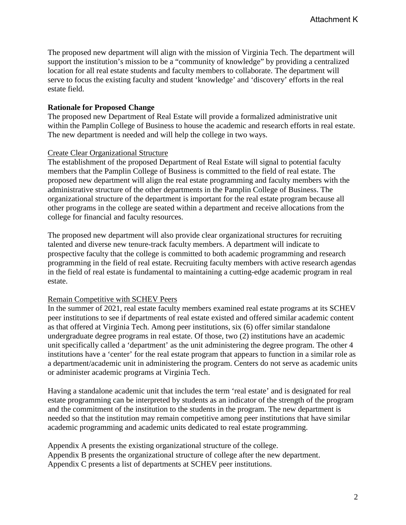The proposed new department will align with the mission of Virginia Tech. The department will support the institution's mission to be a "community of knowledge" by providing a centralized location for all real estate students and faculty members to collaborate. The department will serve to focus the existing faculty and student 'knowledge' and 'discovery' efforts in the real estate field.

## <span id="page-4-0"></span>**Rationale for Proposed Change**

The proposed new Department of Real Estate will provide a formalized administrative unit within the Pamplin College of Business to house the academic and research efforts in real estate. The new department is needed and will help the college in two ways.

## Create Clear Organizational Structure

The establishment of the proposed Department of Real Estate will signal to potential faculty members that the Pamplin College of Business is committed to the field of real estate. The proposed new department will align the real estate programming and faculty members with the administrative structure of the other departments in the Pamplin College of Business. The organizational structure of the department is important for the real estate program because all other programs in the college are seated within a department and receive allocations from the college for financial and faculty resources.

The proposed new department will also provide clear organizational structures for recruiting talented and diverse new tenure-track faculty members. A department will indicate to prospective faculty that the college is committed to both academic programming and research programming in the field of real estate. Recruiting faculty members with active research agendas in the field of real estate is fundamental to maintaining a cutting-edge academic program in real estate.

# Remain Competitive with SCHEV Peers

In the summer of 2021, real estate faculty members examined real estate programs at its SCHEV peer institutions to see if departments of real estate existed and offered similar academic content as that offered at Virginia Tech. Among peer institutions, six (6) offer similar standalone undergraduate degree programs in real estate. Of those, two (2) institutions have an academic unit specifically called a 'department' as the unit administering the degree program. The other 4 institutions have a 'center' for the real estate program that appears to function in a similar role as a department/academic unit in administering the program. Centers do not serve as academic units or administer academic programs at Virginia Tech.

Having a standalone academic unit that includes the term 'real estate' and is designated for real estate programming can be interpreted by students as an indicator of the strength of the program and the commitment of the institution to the students in the program. The new department is needed so that the institution may remain competitive among peer institutions that have similar academic programming and academic units dedicated to real estate programming.

Appendix A presents the existing organizational structure of the college. Appendix B presents the organizational structure of college after the new department. Appendix C presents a list of departments at SCHEV peer institutions.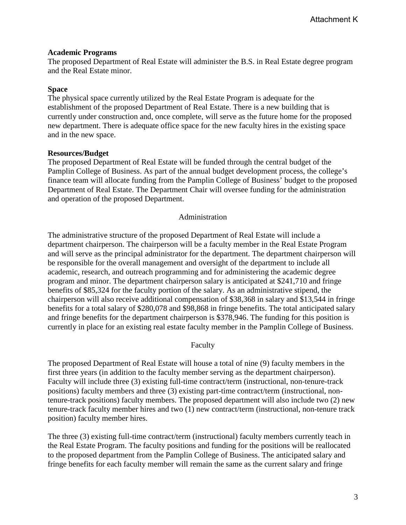#### <span id="page-5-0"></span>**Academic Programs**

The proposed Department of Real Estate will administer the B.S. in Real Estate degree program and the Real Estate minor.

## <span id="page-5-1"></span>**Space**

The physical space currently utilized by the Real Estate Program is adequate for the establishment of the proposed Department of Real Estate. There is a new building that is currently under construction and, once complete, will serve as the future home for the proposed new department. There is adequate office space for the new faculty hires in the existing space and in the new space.

## <span id="page-5-2"></span>**Resources/Budget**

The proposed Department of Real Estate will be funded through the central budget of the Pamplin College of Business. As part of the annual budget development process, the college's finance team will allocate funding from the Pamplin College of Business' budget to the proposed Department of Real Estate. The Department Chair will oversee funding for the administration and operation of the proposed Department.

#### Administration

<span id="page-5-3"></span>The administrative structure of the proposed Department of Real Estate will include a department chairperson. The chairperson will be a faculty member in the Real Estate Program and will serve as the principal administrator for the department. The department chairperson will be responsible for the overall management and oversight of the department to include all academic, research, and outreach programming and for administering the academic degree program and minor. The department chairperson salary is anticipated at \$241,710 and fringe benefits of \$85,324 for the faculty portion of the salary. As an administrative stipend, the chairperson will also receive additional compensation of \$38,368 in salary and \$13,544 in fringe benefits for a total salary of \$280,078 and \$98,868 in fringe benefits. The total anticipated salary and fringe benefits for the department chairperson is \$378,946. The funding for this position is currently in place for an existing real estate faculty member in the Pamplin College of Business.

#### Faculty

<span id="page-5-4"></span>The proposed Department of Real Estate will house a total of nine (9) faculty members in the first three years (in addition to the faculty member serving as the department chairperson). Faculty will include three (3) existing full-time contract/term (instructional, non-tenure-track positions) faculty members and three (3) existing part-time contract/term (instructional, nontenure-track positions) faculty members. The proposed department will also include two (2) new tenure-track faculty member hires and two (1) new contract/term (instructional, non-tenure track position) faculty member hires.

The three (3) existing full-time contract/term (instructional) faculty members currently teach in the Real Estate Program. The faculty positions and funding for the positions will be reallocated to the proposed department from the Pamplin College of Business. The anticipated salary and fringe benefits for each faculty member will remain the same as the current salary and fringe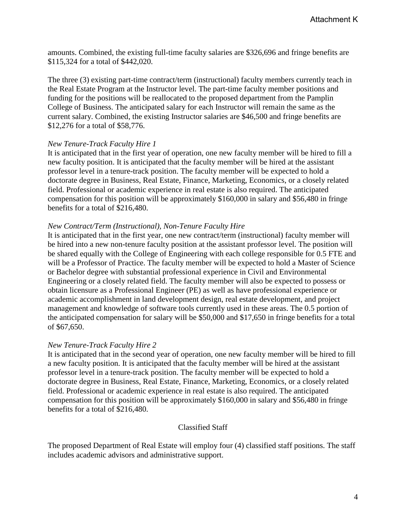amounts. Combined, the existing full-time faculty salaries are \$326,696 and fringe benefits are \$115,324 for a total of \$442,020.

The three (3) existing part-time contract/term (instructional) faculty members currently teach in the Real Estate Program at the Instructor level. The part-time faculty member positions and funding for the positions will be reallocated to the proposed department from the Pamplin College of Business. The anticipated salary for each Instructor will remain the same as the current salary. Combined, the existing Instructor salaries are \$46,500 and fringe benefits are \$12,276 for a total of \$58,776.

#### *New Tenure-Track Faculty Hire 1*

It is anticipated that in the first year of operation, one new faculty member will be hired to fill a new faculty position. It is anticipated that the faculty member will be hired at the assistant professor level in a tenure-track position. The faculty member will be expected to hold a doctorate degree in Business, Real Estate, Finance, Marketing, Economics, or a closely related field. Professional or academic experience in real estate is also required. The anticipated compensation for this position will be approximately \$160,000 in salary and \$56,480 in fringe benefits for a total of \$216,480.

## *New Contract/Term (Instructional), Non-Tenure Faculty Hire*

It is anticipated that in the first year, one new contract/term (instructional) faculty member will be hired into a new non-tenure faculty position at the assistant professor level. The position will be shared equally with the College of Engineering with each college responsible for 0.5 FTE and will be a Professor of Practice. The faculty member will be expected to hold a Master of Science or Bachelor degree with substantial professional experience in Civil and Environmental Engineering or a closely related field. The faculty member will also be expected to possess or obtain licensure as a Professional Engineer (PE) as well as have professional experience or academic accomplishment in land development design, real estate development, and project management and knowledge of software tools currently used in these areas. The 0.5 portion of the anticipated compensation for salary will be \$50,000 and \$17,650 in fringe benefits for a total of \$67,650.

# *New Tenure-Track Faculty Hire 2*

It is anticipated that in the second year of operation, one new faculty member will be hired to fill a new faculty position. It is anticipated that the faculty member will be hired at the assistant professor level in a tenure-track position. The faculty member will be expected to hold a doctorate degree in Business, Real Estate, Finance, Marketing, Economics, or a closely related field. Professional or academic experience in real estate is also required. The anticipated compensation for this position will be approximately \$160,000 in salary and \$56,480 in fringe benefits for a total of \$216,480.

# Classified Staff

<span id="page-6-0"></span>The proposed Department of Real Estate will employ four (4) classified staff positions. The staff includes academic advisors and administrative support.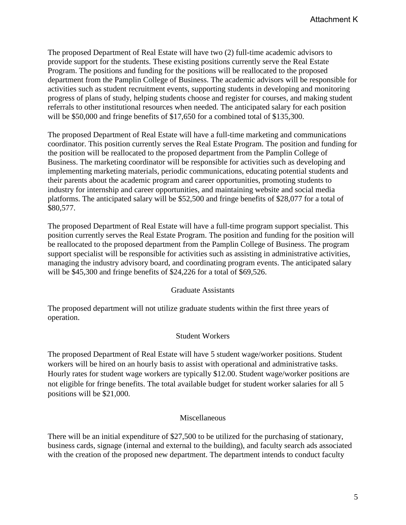The proposed Department of Real Estate will have two (2) full-time academic advisors to provide support for the students. These existing positions currently serve the Real Estate Program. The positions and funding for the positions will be reallocated to the proposed department from the Pamplin College of Business. The academic advisors will be responsible for activities such as student recruitment events, supporting students in developing and monitoring progress of plans of study, helping students choose and register for courses, and making student referrals to other institutional resources when needed. The anticipated salary for each position will be \$50,000 and fringe benefits of \$17,650 for a combined total of \$135,300.

The proposed Department of Real Estate will have a full-time marketing and communications coordinator. This position currently serves the Real Estate Program. The position and funding for the position will be reallocated to the proposed department from the Pamplin College of Business. The marketing coordinator will be responsible for activities such as developing and implementing marketing materials, periodic communications, educating potential students and their parents about the academic program and career opportunities, promoting students to industry for internship and career opportunities, and maintaining website and social media platforms. The anticipated salary will be \$52,500 and fringe benefits of \$28,077 for a total of \$80,577.

The proposed Department of Real Estate will have a full-time program support specialist. This position currently serves the Real Estate Program. The position and funding for the position will be reallocated to the proposed department from the Pamplin College of Business. The program support specialist will be responsible for activities such as assisting in administrative activities, managing the industry advisory board, and coordinating program events. The anticipated salary will be \$45,300 and fringe benefits of \$24,226 for a total of \$69,526.

#### Graduate Assistants

<span id="page-7-0"></span>The proposed department will not utilize graduate students within the first three years of operation.

#### Student Workers

<span id="page-7-1"></span>The proposed Department of Real Estate will have 5 student wage/worker positions. Student workers will be hired on an hourly basis to assist with operational and administrative tasks. Hourly rates for student wage workers are typically \$12.00. Student wage/worker positions are not eligible for fringe benefits. The total available budget for student worker salaries for all 5 positions will be \$21,000.

#### Miscellaneous

<span id="page-7-2"></span>There will be an initial expenditure of \$27,500 to be utilized for the purchasing of stationary, business cards, signage (internal and external to the building), and faculty search ads associated with the creation of the proposed new department. The department intends to conduct faculty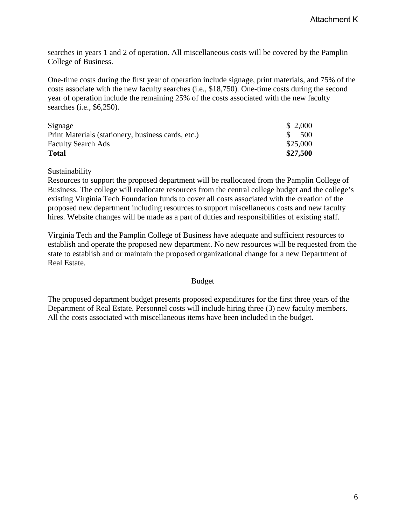searches in years 1 and 2 of operation. All miscellaneous costs will be covered by the Pamplin College of Business.

One-time costs during the first year of operation include signage, print materials, and 75% of the costs associate with the new faculty searches (i.e., \$18,750). One-time costs during the second year of operation include the remaining 25% of the costs associated with the new faculty searches (i.e., \$6,250).

| Signage                                            | \$2,000             |
|----------------------------------------------------|---------------------|
| Print Materials (stationery, business cards, etc.) | 500<br><sup>S</sup> |
| <b>Faculty Search Ads</b>                          | \$25,000            |
| <b>Total</b>                                       | \$27,500            |

Sustainability

Resources to support the proposed department will be reallocated from the Pamplin College of Business. The college will reallocate resources from the central college budget and the college's existing Virginia Tech Foundation funds to cover all costs associated with the creation of the proposed new department including resources to support miscellaneous costs and new faculty hires. Website changes will be made as a part of duties and responsibilities of existing staff.

Virginia Tech and the Pamplin College of Business have adequate and sufficient resources to establish and operate the proposed new department. No new resources will be requested from the state to establish and or maintain the proposed organizational change for a new Department of Real Estate.

#### Budget

<span id="page-8-0"></span>The proposed department budget presents proposed expenditures for the first three years of the Department of Real Estate. Personnel costs will include hiring three (3) new faculty members. All the costs associated with miscellaneous items have been included in the budget.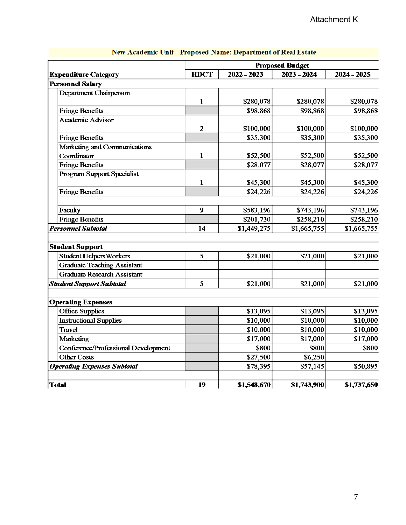| <b>Proposed Budget</b> |               |                                                                                      |                                                                                        |
|------------------------|---------------|--------------------------------------------------------------------------------------|----------------------------------------------------------------------------------------|
| <b>HDCT</b>            | $2022 - 2023$ | $2023 - 2024$                                                                        | 2024 - 2025                                                                            |
|                        |               |                                                                                      |                                                                                        |
|                        |               |                                                                                      |                                                                                        |
| $\mathbf{1}$           | \$280,078     | \$280,078                                                                            | \$280,078                                                                              |
|                        | \$98,868      | \$98,868                                                                             | \$98,868                                                                               |
|                        |               |                                                                                      |                                                                                        |
| $\mathfrak{2}$         | \$100,000     | \$100,000                                                                            | \$100,000                                                                              |
|                        |               |                                                                                      | \$35,300                                                                               |
|                        |               |                                                                                      |                                                                                        |
| 1                      | \$52,500      | \$52,500                                                                             | \$52,500                                                                               |
|                        | \$28,077      | \$28,077                                                                             | \$28,077                                                                               |
|                        |               |                                                                                      |                                                                                        |
| 1                      | \$45,300      | \$45,300                                                                             | \$45,300                                                                               |
|                        |               |                                                                                      | \$24,226                                                                               |
|                        |               |                                                                                      |                                                                                        |
| 9                      | \$583,196     | \$743,196                                                                            | \$743,196                                                                              |
|                        |               | \$258,210                                                                            | \$258,210                                                                              |
| 14                     | \$1,449,275   |                                                                                      | \$1,665,755                                                                            |
|                        |               |                                                                                      |                                                                                        |
|                        |               |                                                                                      |                                                                                        |
|                        |               |                                                                                      | \$21,000                                                                               |
|                        |               |                                                                                      |                                                                                        |
|                        |               |                                                                                      |                                                                                        |
| 5                      | \$21,000      | \$21,000                                                                             | \$21,000                                                                               |
|                        |               |                                                                                      |                                                                                        |
|                        |               |                                                                                      |                                                                                        |
|                        |               |                                                                                      | \$13,095                                                                               |
|                        |               |                                                                                      | \$10,000                                                                               |
|                        | \$10,000      | \$10,000                                                                             | \$10,000                                                                               |
|                        | \$17,000      | \$17,000                                                                             | \$17,000                                                                               |
|                        | \$800         | \$800                                                                                | \$800                                                                                  |
|                        | \$27,500      | \$6,250                                                                              |                                                                                        |
|                        | \$78,395      | \$57,145                                                                             | \$50,895                                                                               |
|                        |               |                                                                                      | \$1,737,650                                                                            |
|                        | 5<br>19       | \$35,300<br>\$24,226<br>\$201,730<br>\$21,000<br>\$13,095<br>\$10,000<br>\$1,548,670 | \$35,300<br>\$24,226<br>\$1,665,755<br>\$21,000<br>\$13,095<br>\$10,000<br>\$1,743,900 |

# New Academic Unit - Proposed Name: Department of Real Estate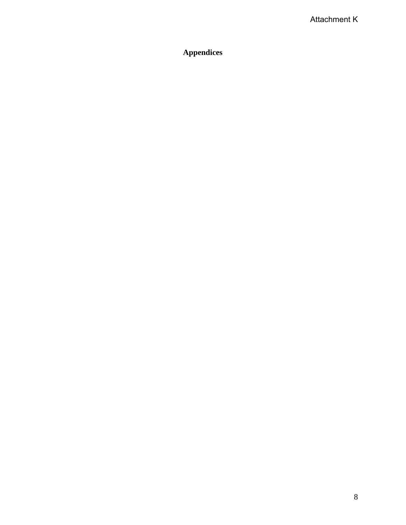# <span id="page-10-0"></span>**Appendices**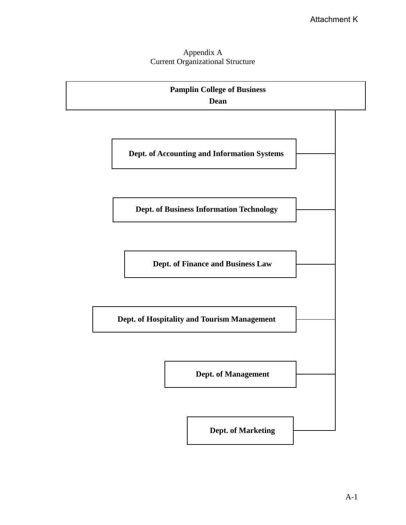# Appendix A Current Organizational Structure

<span id="page-11-0"></span>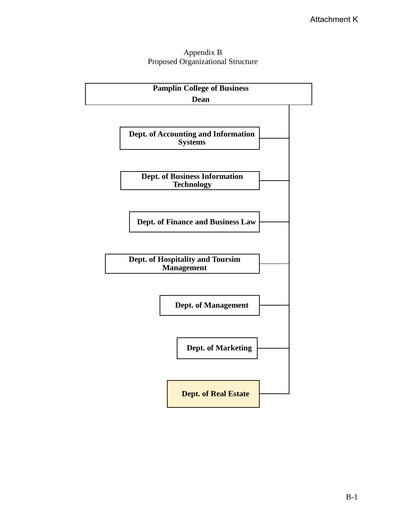# Appendix B Proposed Organizational Structure

<span id="page-12-0"></span>